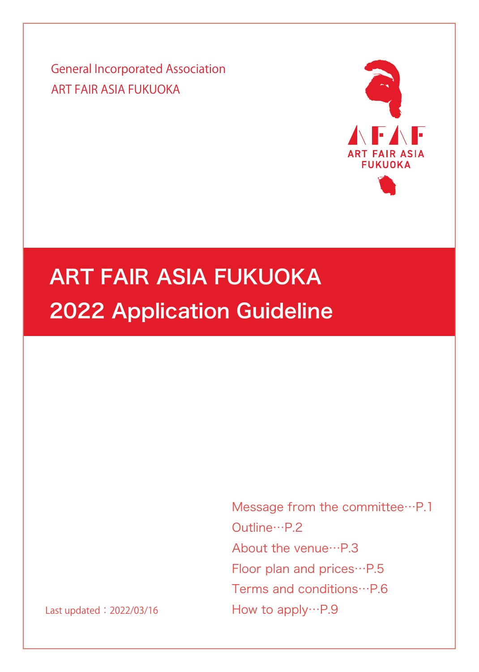General Incorporated Association ART FAIR ASIA FUKUOKA



# ART FAIR ASIA FUKUOKA 2022 Application Guideline

Message from the committee…P.1 Outline…P.2 About the venue…P.3 Floor plan and prices…P.5 Terms and conditions…P.6 How to apply…P.9

Last updated: 2022/03/16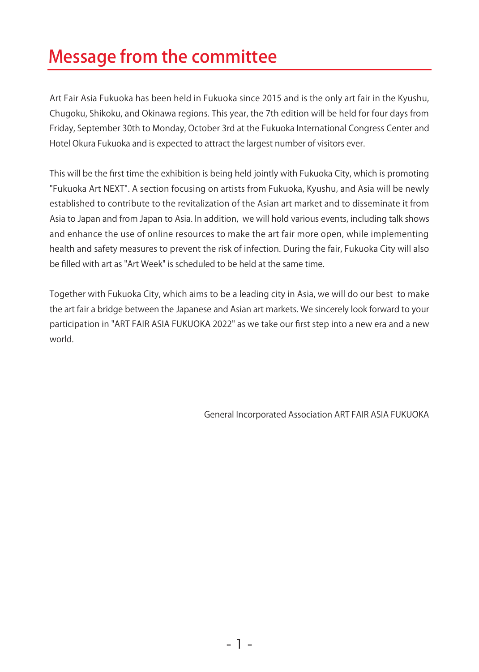## Message from the committee

Art Fair Asia Fukuoka has been held in Fukuoka since 2015 and is the only art fair in the Kyushu, Chugoku, Shikoku, and Okinawa regions. This year, the 7th edition will be held for four days from Friday, September 30th to Monday, October 3rd at the Fukuoka International Congress Center and Hotel Okura Fukuoka and is expected to attract the largest number of visitors ever.

This will be the first time the exhibition is being held jointly with Fukuoka City, which is promoting "Fukuoka Art NEXT". A section focusing on artists from Fukuoka, Kyushu, and Asia will be newly established to contribute to the revitalization of the Asian art market and to disseminate it from Asia to Japan and from Japan to Asia. In addition, we will hold various events, including talk shows and enhance the use of online resources to make the art fair more open, while implementing health and safety measures to prevent the risk of infection. During the fair, Fukuoka City will also be filled with art as "Art Week" is scheduled to be held at the same time.

Together with Fukuoka City, which aims to be a leading city in Asia, we will do our best to make the art fair a bridge between the Japanese and Asian art markets. We sincerely look forward to your participation in "ART FAIR ASIA FUKUOKA 2022" as we take our first step into a new era and a new world.

General Incorporated Association ART FAIR ASIA FUKUOKA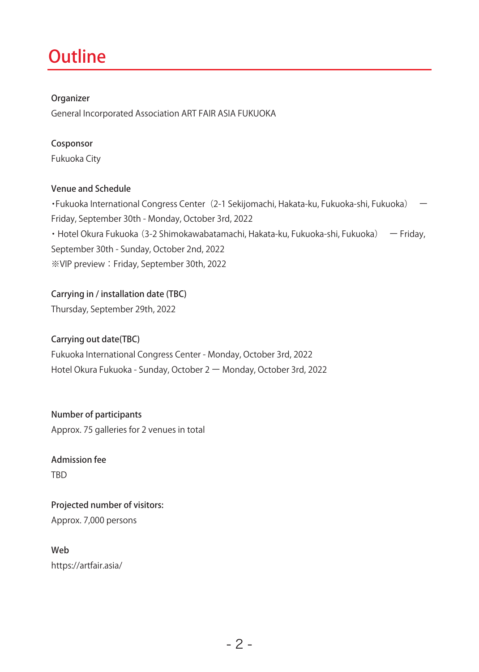### **Outline**

#### Organizer

General Incorporated Association ART FAIR ASIA FUKUOKA

#### Cosponsor

Fukuoka City

#### Venue and Schedule

•Fukuoka International Congress Center (2-1 Sekijomachi, Hakata-ku, Fukuoka-shi, Fukuoka) Friday, September 30th - Monday, October 3rd, 2022 ・Hotel Okura Fukuoka (3-2 Shimokawabatamachi, Hakata-ku, Fukuoka-shi, Fukuoka) ー Friday, September 30th - Sunday, October 2nd, 2022 ※VIP preview:Friday, September 30th, 2022

#### Carrying in / installation date (TBC)

Thursday, September 29th, 2022

#### Carrying out date(TBC)

Fukuoka International Congress Center - Monday, October 3rd, 2022 Hotel Okura Fukuoka - Sunday, October 2 ー Monday, October 3rd, 2022

Number of participants Approx. 75 galleries for 2 venues in total

#### Admission fee TBD

Projected number of visitors: Approx. 7,000 persons

Web https://artfair.asia/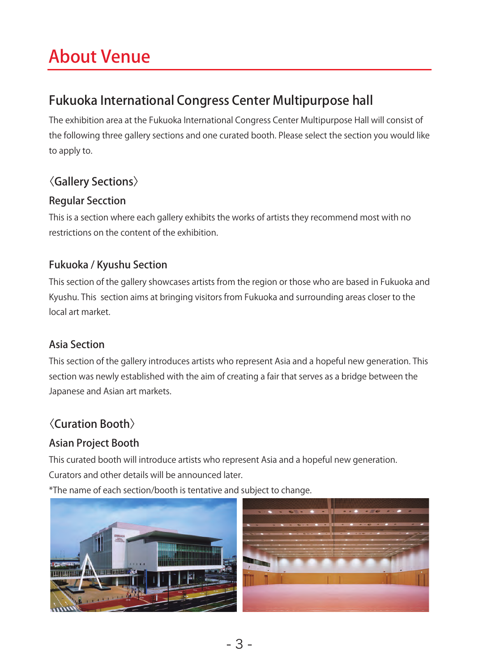## About Venue

### Fukuoka International Congress Center Multipurpose hall

The exhibition area at the Fukuoka International Congress Center Multipurpose Hall will consist of the following three gallery sections and one curated booth. Please select the section you would like to apply to.

### 〈Gallery Sections〉

### Regular Secction

This is a section where each gallery exhibits the works of artists they recommend most with no restrictions on the content of the exhibition.

### Fukuoka / Kyushu Section

This section of the gallery showcases artists from the region or those who are based in Fukuoka and Kyushu. This section aims at bringing visitors from Fukuoka and surrounding areas closer to the local art market.

### Asia Section

This section of the gallery introduces artists who represent Asia and a hopeful new generation. This section was newly established with the aim of creating a fair that serves as a bridge between the Japanese and Asian art markets.

### 〈Curation Booth〉

### Asian Project Booth

This curated booth will introduce artists who represent Asia and a hopeful new generation. Curators and other details will be announced later.

\*The name of each section/booth is tentative and subject to change.

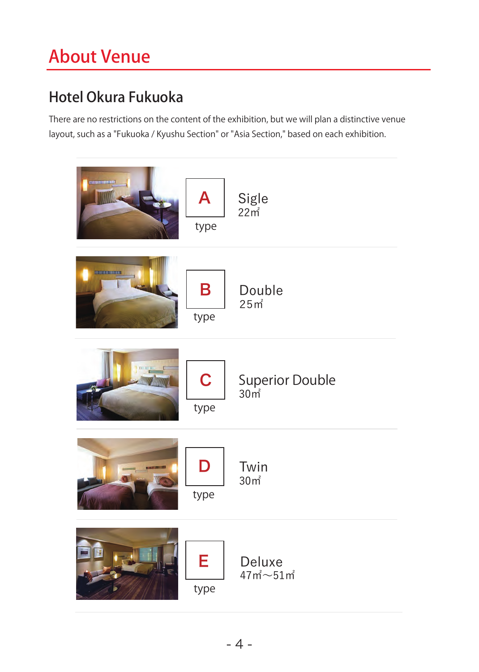## About Venue

### Hotel Okura Fukuoka

There are no restrictions on the content of the exhibition, but we will plan a distinctive venue layout, such as a "Fukuoka / Kyushu Section" or "Asia Section," based on each exhibition.

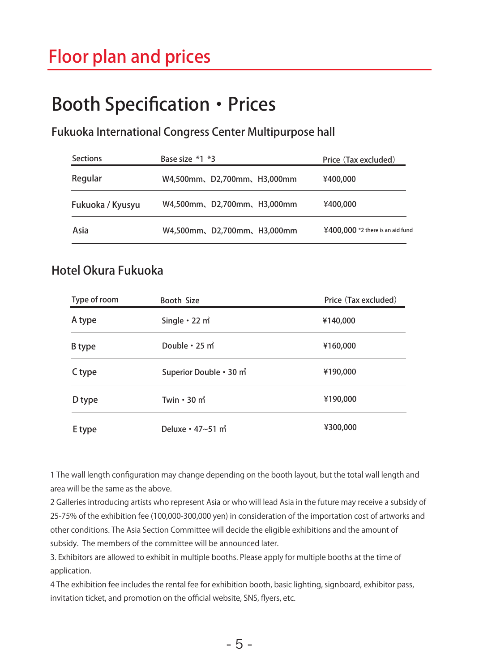## Booth Specification・Prices

Fukuoka International Congress Center Multipurpose hall

| <b>Sections</b>  | Base size *1 *3            | Price (Tax excluded)             |
|------------------|----------------------------|----------------------------------|
| Regular          | W4,500mm、D2,700mm、H3,000mm | ¥400,000                         |
| Fukuoka / Kyusyu | W4,500mm、D2,700mm、H3,000mm | ¥400,000                         |
| Asia             | W4,500mm、D2,700mm、H3,000mm | ¥400,000 *2 there is an aid fund |

### Hotel Okura Fukuoka

| Type of room | Booth Size                          | Price (Tax excluded) |
|--------------|-------------------------------------|----------------------|
| A type       | Single $\cdot$ 22 m <sup>2</sup>    | ¥140,000             |
| B type       | Double · 25 m <sup>2</sup>          | ¥160,000             |
| C type       | Superior Double . 30 m <sup>2</sup> | ¥190,000             |
| D type       | Twin $\cdot$ 30 m <sup>2</sup>      | ¥190,000             |
| E type       | Deluxe · 47~51 m <sup>2</sup>       | ¥300,000             |

1 The wall length configuration may change depending on the booth layout, but the total wall length and area will be the same as the above.

2 Galleries introducing artists who represent Asia or who will lead Asia in the future may receive a subsidy of 25-75% of the exhibition fee (100,000-300,000 yen) in consideration of the importation cost of artworks and other conditions. The Asia Section Committee will decide the eligible exhibitions and the amount of subsidy. The members of the committee will be announced later.

3. Exhibitors are allowed to exhibit in multiple booths. Please apply for multiple booths at the time of application.

4 The exhibition fee includes the rental fee for exhibition booth, basic lighting, signboard, exhibitor pass, invitation ticket, and promotion on the official website, SNS, flyers, etc.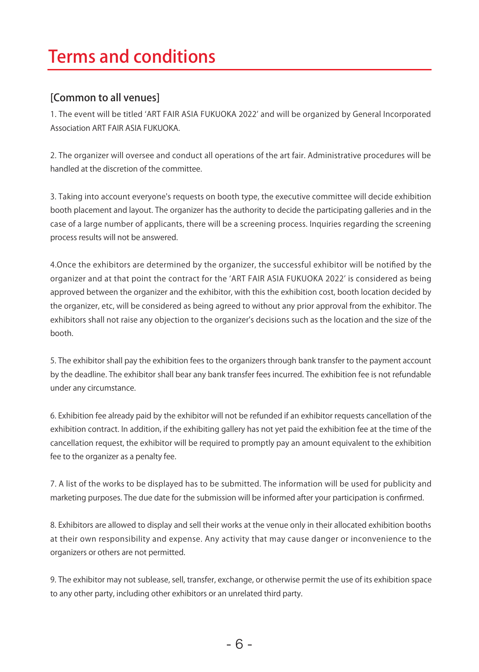## Terms and conditions

### [Common to all venues]

1. The event will be titled ʻART FAIR ASIA FUKUOKA 2022' and will be organized by General Incorporated Association ART FAIR ASIA FUKUOKA.

2. The organizer will oversee and conduct all operations of the art fair. Administrative procedures will be handled at the discretion of the committee.

3. Taking into account everyone's requests on booth type, the executive committee will decide exhibition booth placement and layout. The organizer has the authority to decide the participating galleries and in the case of a large number of applicants, there will be a screening process. Inquiries regarding the screening process results will not be answered.

4.Once the exhibitors are determined by the organizer, the successful exhibitor will be notified by the organizer and at that point the contract for the ʻART FAIR ASIA FUKUOKA 2022' is considered as being approved between the organizer and the exhibitor, with this the exhibition cost, booth location decided by the organizer, etc, will be considered as being agreed to without any prior approval from the exhibitor. The exhibitors shall not raise any objection to the organizer's decisions such as the location and the size of the booth.

5. The exhibitor shall pay the exhibition fees to the organizers through bank transfer to the payment account by the deadline. The exhibitor shall bear any bank transfer fees incurred. The exhibition fee is not refundable under any circumstance.

6. Exhibition fee already paid by the exhibitor will not be refunded if an exhibitor requests cancellation of the exhibition contract. In addition, if the exhibiting gallery has not yet paid the exhibition fee at the time of the cancellation request, the exhibitor will be required to promptly pay an amount equivalent to the exhibition fee to the organizer as a penalty fee.

7. A list of the works to be displayed has to be submitted. The information will be used for publicity and marketing purposes. The due date for the submission will be informed after your participation is confirmed.

8. Exhibitors are allowed to display and sell their works at the venue only in their allocated exhibition booths at their own responsibility and expense. Any activity that may cause danger or inconvenience to the organizers or others are not permitted.

9. The exhibitor may not sublease, sell, transfer, exchange, or otherwise permit the use of its exhibition space to any other party, including other exhibitors or an unrelated third party.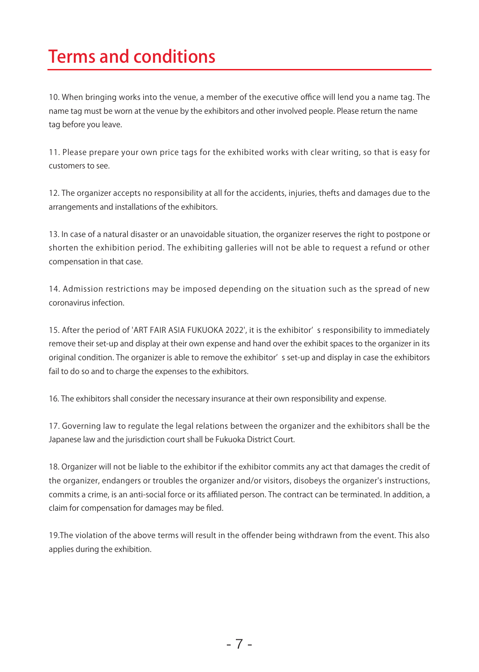## Terms and conditions

10. When bringing works into the venue, a member of the executive office will lend you a name tag. The name tag must be worn at the venue by the exhibitors and other involved people. Please return the name tag before you leave.

11. Please prepare your own price tags for the exhibited works with clear writing, so that is easy for customers to see.

12. The organizer accepts no responsibility at all for the accidents, injuries, thefts and damages due to the arrangements and installations of the exhibitors.

13. In case of a natural disaster or an unavoidable situation, the organizer reserves the right to postpone or shorten the exhibition period. The exhibiting galleries will not be able to request a refund or other compensation in that case.

14. Admission restrictions may be imposed depending on the situation such as the spread of new coronavirus infection.

15. After the period of 'ART FAIR ASIA FUKUOKA 2022', it is the exhibitor' s responsibility to immediately remove their set-up and display at their own expense and hand over the exhibit spaces to the organizer in its original condition. The organizer is able to remove the exhibitor' s set-up and display in case the exhibitors fail to do so and to charge the expenses to the exhibitors.

16. The exhibitors shall consider the necessary insurance at their own responsibility and expense.

17. Governing law to regulate the legal relations between the organizer and the exhibitors shall be the Japanese law and the jurisdiction court shall be Fukuoka District Court.

18. Organizer will not be liable to the exhibitor if the exhibitor commits any act that damages the credit of the organizer, endangers or troubles the organizer and/or visitors, disobeys the organizer's instructions, commits a crime, is an anti-social force or its affiliated person. The contract can be terminated. In addition, a claim for compensation for damages may be filed.

19.The violation of the above terms will result in the offender being withdrawn from the event. This also applies during the exhibition.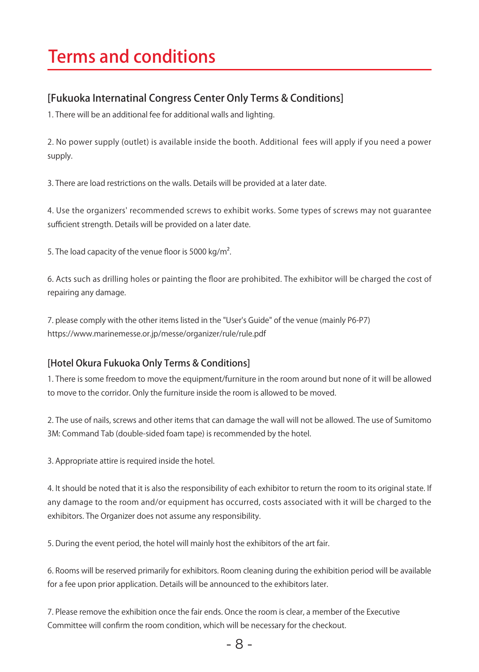## Terms and conditions

### [Fukuoka Internatinal Congress Center Only Terms & Conditions]

1. There will be an additional fee for additional walls and lighting.

2. No power supply (outlet) is available inside the booth. Additional fees will apply if you need a power supply.

3. There are load restrictions on the walls. Details will be provided at a later date.

4. Use the organizers' recommended screws to exhibit works. Some types of screws may not guarantee sufficient strength. Details will be provided on a later date.

5. The load capacity of the venue floor is 5000 kg/m<sup>2</sup>.

6. Acts such as drilling holes or painting the floor are prohibited. The exhibitor will be charged the cost of repairing any damage.

7. please comply with the other items listed in the "User's Guide" of the venue (mainly P6-P7) https://www.marinemesse.or.jp/messe/organizer/rule/rule.pdf

#### [Hotel Okura Fukuoka Only Terms & Conditions]

1. There is some freedom to move the equipment/furniture in the room around but none of it will be allowed to move to the corridor. Only the furniture inside the room is allowed to be moved.

2. The use of nails, screws and other items that can damage the wall will not be allowed. The use of Sumitomo 3M: Command Tab (double-sided foam tape) is recommended by the hotel.

3. Appropriate attire is required inside the hotel.

4. It should be noted that it is also the responsibility of each exhibitor to return the room to its original state. If any damage to the room and/or equipment has occurred, costs associated with it will be charged to the exhibitors. The Organizer does not assume any responsibility.

5. During the event period, the hotel will mainly host the exhibitors of the art fair.

6. Rooms will be reserved primarily for exhibitors. Room cleaning during the exhibition period will be available for a fee upon prior application. Details will be announced to the exhibitors later.

7. Please remove the exhibition once the fair ends. Once the room is clear, a member of the Executive Committee will confirm the room condition, which will be necessary for the checkout.

- 8 -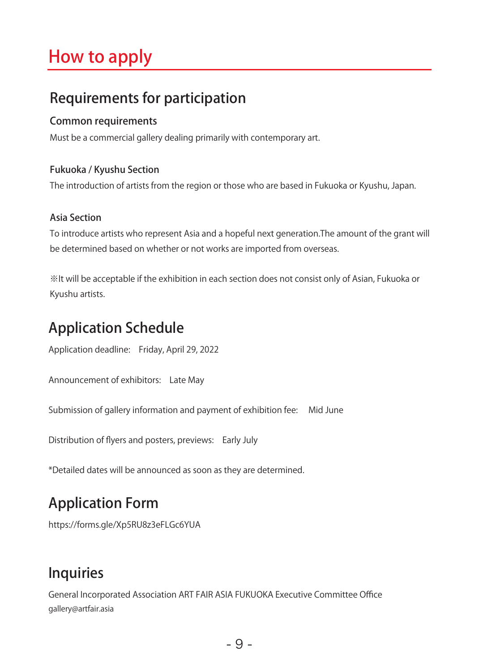## How to apply

### Requirements for participation

### Common requirements

Must be a commercial gallery dealing primarily with contemporary art.

#### Fukuoka / Kyushu Section

The introduction of artists from the region or those who are based in Fukuoka or Kyushu, Japan.

### Asia Section

To introduce artists who represent Asia and a hopeful next generation.The amount of the grant will be determined based on whether or not works are imported from overseas.

※It will be acceptable if the exhibition in each section does not consist only of Asian, Fukuoka or Kyushu artists.

### Application Schedule

Application deadline: Friday, April 29, 2022

Announcement of exhibitors: Late May

Submission of gallery information and payment of exhibition fee: Mid June

Distribution of flyers and posters, previews: Early July

\*Detailed dates will be announced as soon as they are determined.

### Application Form

https://forms.gle/Xp5RU8z3eFLGc6YUA

### Inquiries

General Incorporated Association ART FAIR ASIA FUKUOKA Executive Committee Office gallery@artfair.asia

- 9 -